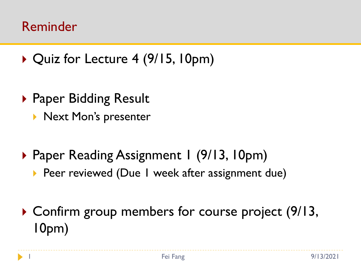#### Reminder

- ▶ Quiz for Lecture 4 (9/15, 10pm)
- ▶ Paper Bidding Result
	- **Next Mon's presenter**
- ▶ Paper Reading Assignment 1 (9/13, 10pm)
	- Peer reviewed (Due 1 week after assignment due)
- ▶ Confirm group members for course project (9/13, 10pm)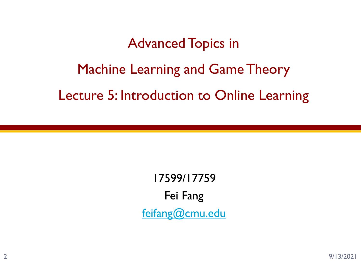# Advanced Topics in Machine Learning and Game Theory Lecture 5: Introduction to Online Learning

17599/17759 Fei Fang [feifang@cmu.edu](mailto:feifang@cmu.edu)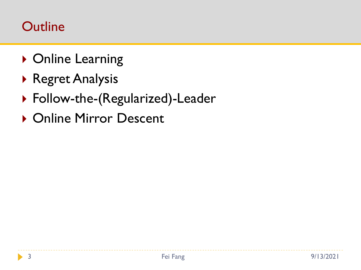### **Outline**

- ▶ Online Learning
- Regret Analysis
- ▶ Follow-the-(Regularized)-Leader
- ▶ Online Mirror Descent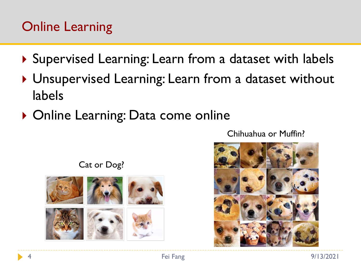# Online Learning

- ▶ Supervised Learning: Learn from a dataset with labels
- ▶ Unsupervised Learning: Learn from a dataset without labels
- ▶ Online Learning: Data come online

Chihuahua or Muffin?



Cat or Dog?

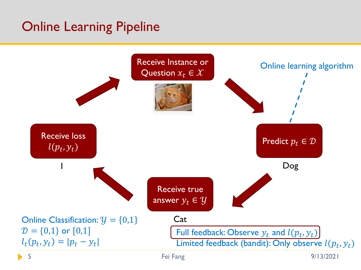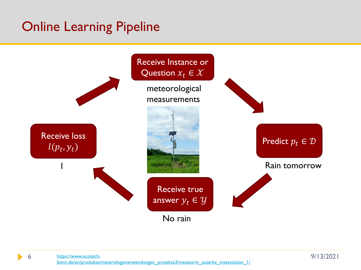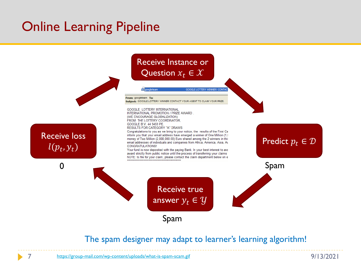

#### The spam designer may adapt to learner's learning algorithm!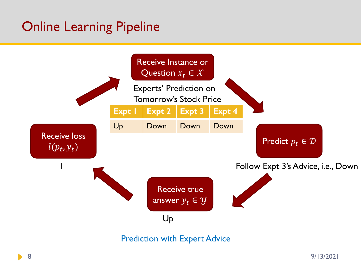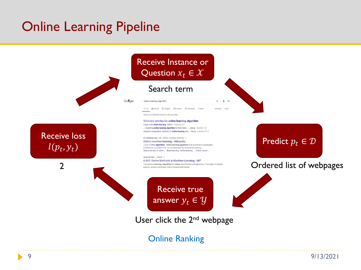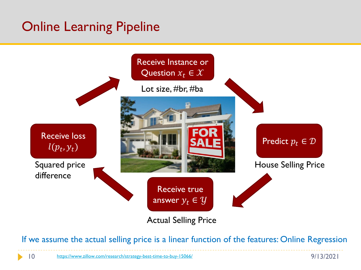

If we assume the actual selling price is a linear function of the features: Online Regression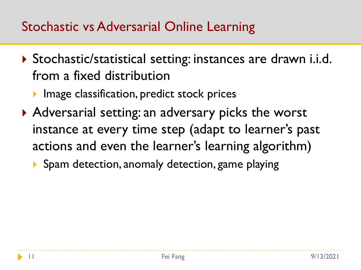# Stochastic vs Adversarial Online Learning

- Stochastic/statistical setting: instances are drawn i.i.d. from a fixed distribution
	- **Image classification, predict stock prices**
- Adversarial setting: an adversary picks the worst instance at every time step (adapt to learner's past actions and even the learner's learning algorithm)
	- Spam detection, anomaly detection, game playing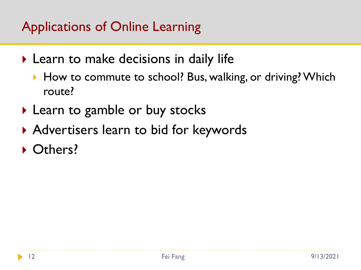# Applications of Online Learning

- ▶ Learn to make decisions in daily life
	- ▶ How to commute to school? Bus, walking, or driving? Which route?
- ▶ Learn to gamble or buy stocks
- Advertisers learn to bid for keywords
- ▶ Others?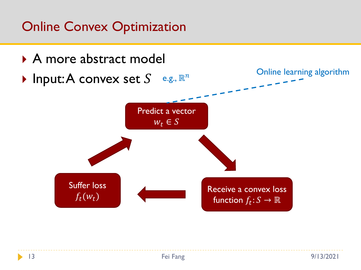# Online Convex Optimization

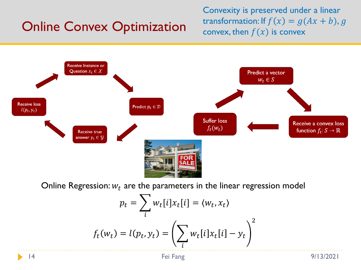# Online Convex Optimization

Convexity is preserved under a linear transformation: If  $f(x) = g(Ax + b)$ , g convex, then  $f(x)$  is convex



Online Regression:  $w_t$  are the parameters in the linear regression model

$$
p_t = \sum_i w_t[i]x_t[i] = \langle w_t, x_t \rangle
$$

$$
f_t(w_t) = l(p_t, y_t) = \left(\sum_i w_t[i]x_t[i] - y_t\right)^2
$$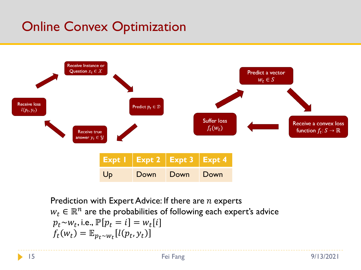# Online Convex Optimization



Prediction with Expert Advice: If there are  $n$  experts  $w_t \in \mathbb{R}^n$  are the probabilities of following each expert's advice  $p_t$ ~ $w_t$ , i.e.,  $\mathbb{P}[p_t = i] = w_t[i]$  $f_t(w_t) = \mathbb{E}_{p_t \sim w_t}[l(p_t, y_t)]$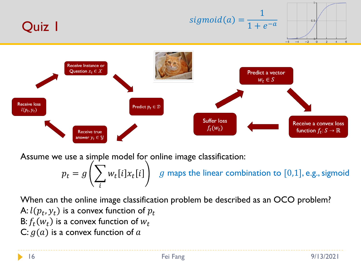

Assume we use a simple model for online image classification:

 $p_{t}=g\left(\begin{array}{cc} >\end{array} w_{t}[i]x_{t}[i]\ \right)\ \ \ \ \ g$  maps the linear combination to  $[0,1],$  e.g., sigmoid i

When can the online image classification problem be described as an OCO problem? A:  $l(p_t, y_t)$  is a convex function of  $p_t$ B:  $f_t(w_t)$  is a convex function of  $w_t$ C:  $g(a)$  is a convex function of a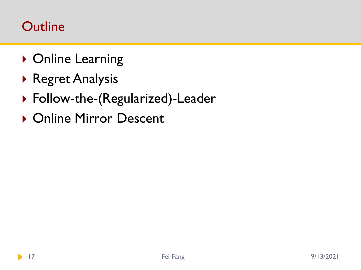### **Outline**

- ▶ Online Learning
- Regret Analysis
- ▶ Follow-the-(Regularized)-Leader
- ▶ Online Mirror Descent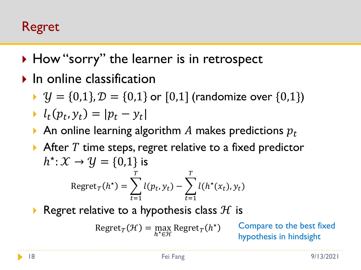### Regret

- ▶ How "sorry" the learner is in retrospect
- $\blacktriangleright$  In online classification
	- $\mathcal{Y} = \{0,1\}, \mathcal{D} = \{0,1\}$  or  $[0,1]$  (randomize over  $\{0,1\}$ )

$$
\blacktriangleright l_t(p_t, y_t) = |p_t - y_t|
$$

- An online learning algorithm A makes predictions  $p_t$
- $\triangleright$  After T time steps, regret relative to a fixed predictor  $h^{\star} \colon \mathcal{X} \to \mathcal{Y} = \{0,1\}$  is  $\text{Regret}_T(h^{\star}) = \sum_{\lambda}$  $t=1$  $\overline{T}$  $l(p_t, y_t) - \sum$  $t=1$  $\overline{T}$  $l(h^*(x_t), y_t)$
- Regret relative to a hypothesis class  $H$  is

$$
RegretT(\mathcal{H}) = \max_{h^* \in \mathcal{H}} RegretT(h^*)
$$

Compare to the best fixed hypothesis in hindsight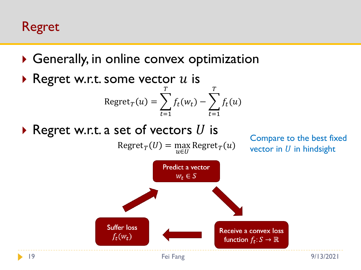Regret

- Generally, in online convex optimization
- Regret w.r.t. some vector  $u$  is Regret $_T(u) = \sum$  $t=1$  $\overline{T}$  $f_t(w_t) - \sum$  $t=1$  $\overline{T}$  $f_t(u)$
- Regret w.r.t. a set of vectors  $U$  is

 $\text{Regret}_{T}(U) = \max_{u \in U} \text{Regret}_{T}(u)$ 

Compare to the best fixed vector in  $U$  in hindsight

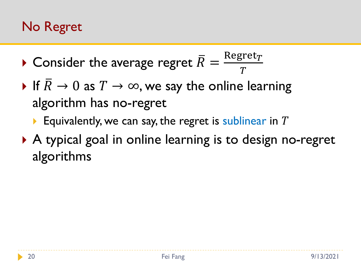# No Regret

- $\blacktriangleright$  Consider the average regret  $\bar{R} = \frac{\text{Regret}_T}{T}$  $\overline{T}$
- If  $R \to 0$  as  $T \to \infty$ , we say the online learning algorithm has no-regret
	- Equivalently, we can say, the regret is sublinear in  $T$
- ▶ A typical goal in online learning is to design no-regret algorithms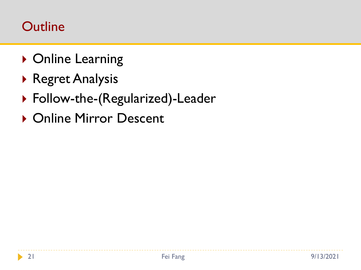### **Outline**

- ▶ Online Learning
- Regret Analysis
- ▶ Follow-the-(Regularized)-Leader
- ▶ Online Mirror Descent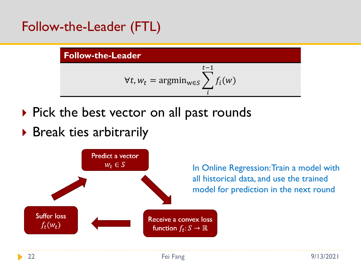Follow-the-Leader (FTL)

#### **Follow-the-Leader**

$$
\forall t, w_t = \operatorname{argmin}_{w \in S} \sum_{i}^{t-1} f_i(w)
$$

- $\triangleright$  Pick the best vector on all past rounds
- ▶ Break ties arbitrarily



In Online Regression: Train a model with all historical data, and use the trained model for prediction in the next round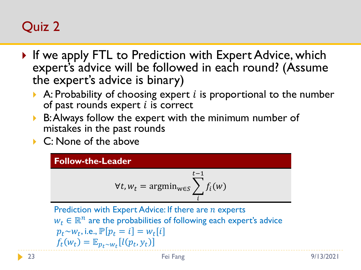# Quiz 2

- If we apply FTL to Prediction with Expert Advice, which expert's advice will be followed in each round? (Assume the expert's advice is binary)
	- A: Probability of choosing expert  $i$  is proportional to the number of past rounds expert  $i$  is correct
	- ▶ B: Always follow the expert with the minimum number of mistakes in the past rounds
	- ▶ C: None of the above

#### **Follow-the-Leader**

$$
\forall t, w_t = \operatorname{argmin}_{w \in S} \sum_{i}^{t-1} f_i(w)
$$

Prediction with Expert Advice: If there are  $n$  experts  $w_t \in \mathbb{R}^n$  are the probabilities of following each expert's advice  $p_t$ ~ $w_t$ , i.e.,  $\mathbb{P}[p_t = i] = w_t[i]$  $f_t(w_t) = \mathbb{E}_{p_t \sim w_t}[l(p_t, y_t)]$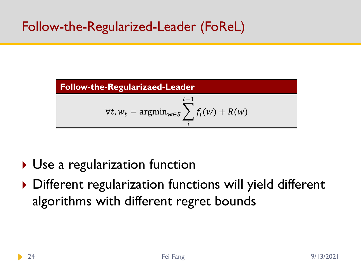# Follow-the-Regularized-Leader (FoReL)



- ▶ Use a regularization function
- ▶ Different regularization functions will yield different algorithms with different regret bounds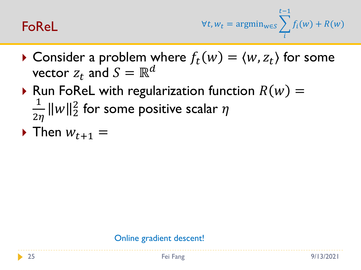#### FoReL

$$
\forall t, w_t = \operatorname{argmin}_{w \in S} \sum_{i}^{t-1} f_i(w) + R(w)
$$

- $\blacktriangleright$  Consider a problem where  $f_t(w) = \langle w, z_t \rangle$  for some vector  $z_t$  and  $S = \mathbb{R}^d$
- Run FoReL with regularization function  $R(w) =$ 1  $\frac{1}{2\eta}\|w\|_2^2$  for some positive scalar  $\eta$
- $\triangleright$  Then  $w_{t+1} =$

#### Online gradient descent!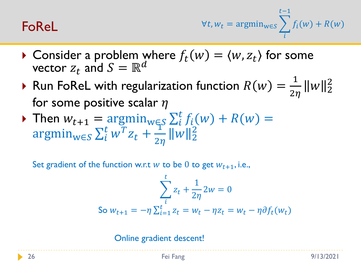#### FoReL

$$
\forall t, w_t = \operatorname{argmin}_{w \in S} \sum_{i}^{t-1} f_i(w) + R(w)
$$

- Consider a problem where  $f_t(w) = \langle w, z_t \rangle$  for some vector  $z_t$  and  $S = \mathbb{R}^d$
- Run FoReL with regularization function  $R(w) =$ 1  $\frac{1}{2\eta}$  ||w||2 for some positive scalar  $\eta$
- Then  $w_{t+1} = \operatorname{argmin}_{w \in S} \sum_{i}^{t} f_i(w) + R(w) =$  $\arg\min_{w \in S} \sum_{i}^{t} w^{T} z_{t} +$  $\overline{1}$  $rac{1}{2\eta}$   $||w||_2^2$

Set gradient of the function w.r.t w to be 0 to get  $W_{t+1}$ , i.e.,

$$
\sum_{i}^{t} z_{t} + \frac{1}{2\eta} 2w = 0
$$
  
So  $w_{t+1} = -\eta \sum_{i=1}^{t} z_{t} = w_{t} - \eta z_{t} = w_{t} - \eta \partial f_{t}(w_{t})$ 

Online gradient descent!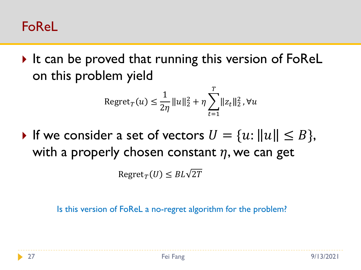#### FoReL

It can be proved that running this version of  $FoRel$ on this problem yield

Regret<sub>T</sub>
$$
(u) \le \frac{1}{2\eta} ||u||_2^2 + \eta \sum_{t=1}^T ||z_t||_2^2, \forall u
$$

If we consider a set of vectors  $U = \{u : ||u|| \leq B\},\$ with a properly chosen constant  $\eta$ , we can get

 $Regret_T(U) \leq BL\sqrt{2T}$ 

Is this version of FoReL a no-regret algorithm for the problem?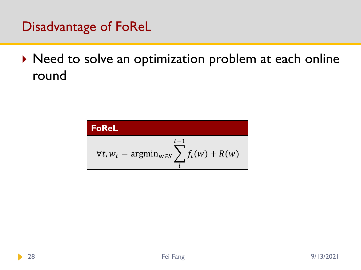Disadvantage of FoReL

▶ Need to solve an optimization problem at each online round

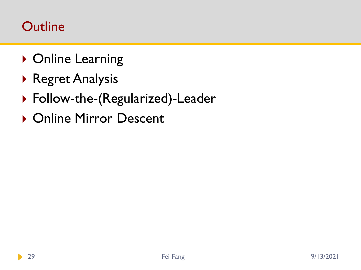### **Outline**

- ▶ Online Learning
- Regret Analysis
- ▶ Follow-the-(Regularized)-Leader
- ▶ Online Mirror Descent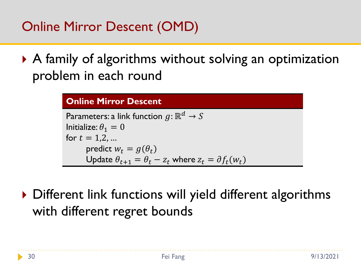Online Mirror Descent (OMD)

 A family of algorithms without solving an optimization problem in each round

#### **Online Mirror Descent**

Parameters: a link function  $g: \mathbb{R}^d \to S$ Initialize:  $\theta_1 = 0$ for  $t = 1, 2, ...$ predict  $w_t = g(\theta_t)$ Update  $\theta_{t+1} = \theta_t - z_t$  where  $z_t = \partial f_t(w_t)$ 

▶ Different link functions will yield different algorithms with different regret bounds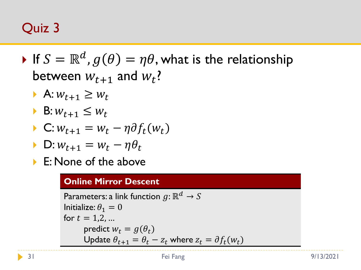# Quiz 3

- $\blacktriangleright$  If  $S=\mathbb{R}^d$ ,  $g(\theta)=\eta\theta,$  what is the relationship between  $w_{t+1}$  and  $w_t$ ?
	- A:  $W_{t+1} \geq W_t$
	- $\blacktriangleright$  B:  $W_{t+1} \leq W_t$

$$
\blacktriangleright \mathbf{C}: w_{t+1} = w_t - \eta \partial f_t(w_t)
$$

- $\triangleright$  D:  $w_{t+1} = w_t \eta \theta_t$
- ▶ E: None of the above

#### **Online Mirror Descent**

Parameters: a link function  $g: \mathbb{R}^d \to S$ Initialize:  $\theta_1 = 0$ for  $t = 1, 2, ...$ predict  $w_t = g(\theta_t)$ Update  $\theta_{t+1} = \theta_t - z_t$  where  $z_t = \partial f_t(w_t)$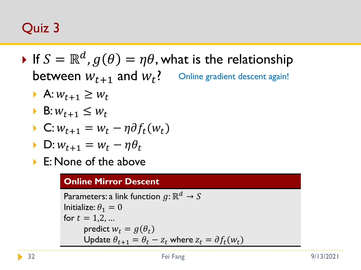# Quiz 3

- $\blacktriangleright$  If  $S=\mathbb{R}^d$ ,  $g(\theta)=\eta\theta,$  what is the relationship between  $w_{t+1}$  and  $w_t$ ? Online gradient descent again!
	- A:  $W_{t+1} \geq W_t$
	- $\blacktriangleright$  B:  $W_{t+1} \leq W_t$

$$
\blacktriangleright \mathbf{C}: w_{t+1} = w_t - \eta \partial f_t(w_t)
$$

- $\triangleright$  D:  $w_{t+1} = w_t \eta \theta_t$
- ▶ E: None of the above

#### **Online Mirror Descent**

Parameters: a link function  $g: \mathbb{R}^d \to S$ Initialize:  $\theta_1 = 0$ for  $t = 1, 2, ...$ predict  $w_t = g(\theta_t)$ Update  $\theta_{t+1} = \theta_t - z_t$  where  $z_t = \partial f_t(w_t)$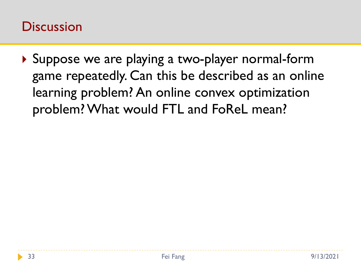#### **Discussion**

▶ Suppose we are playing a two-player normal-form game repeatedly. Can this be described as an online learning problem? An online convex optimization problem? What would FTL and FoReL mean?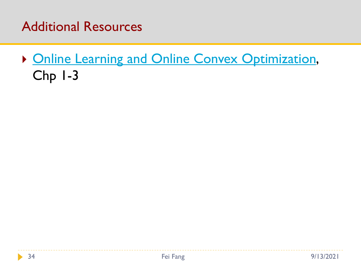#### Additional Resources

**[Online Learning and Online Convex Optimization](https://www.cs.huji.ac.il/~shais/papers/OLsurvey.pdf),** Chp 1-3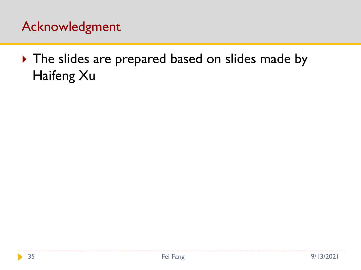### Acknowledgment

The slides are prepared based on slides made by Haifeng Xu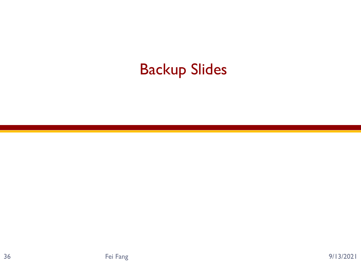# Backup Slides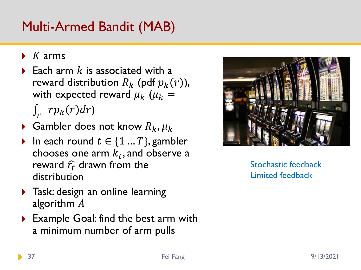# Multi-Armed Bandit (MAB)

- $\blacktriangleright$  K arms
- Each arm  $k$  is associated with a reward distribution  $R_k$  (pdf  $p_k(r)$ ), with expected reward  $\mu_k$  ( $\mu_k$  =  $\int_{r} r p_{k}(r) dr$
- Gambler does not know  $R_k, \mu_k$
- In each round  $t \in \{1 ... T\}$ , gambler chooses one arm  $k_t,$  and observe a reward  $\hat{r}_t$  drawn from the distribution
- **Task: design an online learning** algorithm A
- ▶ Example Goal: find the best arm with a minimum number of arm pulls



Stochastic feedback Limited feedback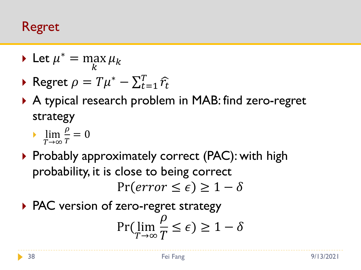#### Regret

- $\blacktriangleright$  Let  $\mu^* = \max$  $\boldsymbol{k}$  $\mu_k$
- ▶ Regret  $\rho = T\mu^* \sum_{t=1}^T \widehat{r}_t$
- ▶ A typical research problem in MAB: find zero-regret strategy
	- $\overline{\phantom{a}}$  lim  $T\rightarrow\infty$  $\rho$  $\overline{T}$  $= 0$
- $\triangleright$  Probably approximately correct (PAC): with high probability, it is close to being correct  $Pr(error \leq \epsilon) \geq 1-\delta$
- ▶ PAC version of zero-regret strategy Pr( lim  $T\rightarrow\infty$  $\rho$  $\overline{T}$  $\leq \epsilon$ )  $\geq 1-\delta$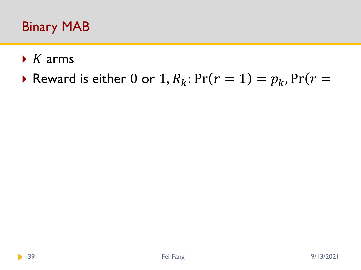### Binary MAB

- $\triangleright$  K arms
- Reward is either 0 or 1,  $R_k$ :  $Pr(r = 1) = p_k$ ,  $Pr(r = 1)$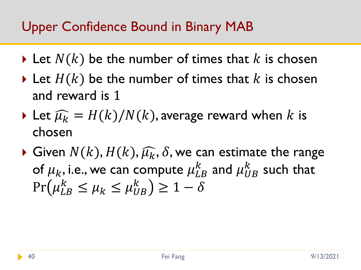- $\triangleright$  Let  $N(k)$  be the number of times that k is chosen
- $\triangleright$  Let  $H(k)$  be the number of times that k is chosen and reward is 1
- $\blacktriangleright$  Let  $\widehat{\mu_k} = H(k)/N(k)$ , average reward when k is chosen
- $\blacktriangleright$  Given  $N(k), H(k), \widehat{\mu_k}, \delta$ , we can estimate the range of  $\mu_k$ , i.e., we can compute  $\mu_{LB}^k$  and  $\mu_{UB}^k$  such that  $Pr(\mu_{LB}^k \leq \mu_k \leq \mu_{UB}^k) \geq 1 - \delta$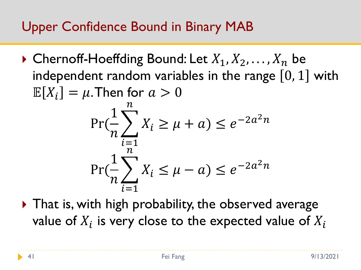- $\triangleright$  Chernoff-Hoeffding Bound: Let  $X_1, X_2, \ldots, X_n$  be independent random variables in the range  $[0, 1]$  with  $\mathbb{E}[X_i] = \mu$ . Then for  $a > 0$ Pr( 1  $\overline{n}$  $\left\langle \right\rangle$  $i=1$  $\overline{n}$  $X_i \geq \mu + a) \leq e^{-2a^2n}$ Pr( 1  $\overline{n}$  $\left\langle \right\rangle$  $i=1$  $\boldsymbol{n}$  $X_i \leq \mu - a) \leq e^{-2a^2n}$
- ▶ That is, with high probability, the observed average value of  $X_i$  is very close to the expected value of  $X_i$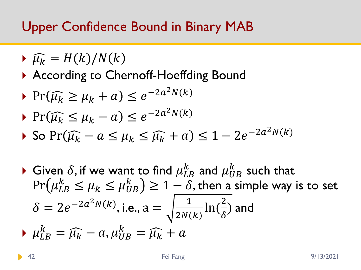- $\blacktriangleright \widehat{\mu_k} = H(k)/N(k)$
- ▶ According to Chernoff-Hoeffding Bound
- ▶  $Pr(\widehat{\mu_k} \ge \mu_k + a) \le e^{-2a^2 N(k)}$

$$
\Pr(\widehat{\mu_k} \le \mu_k - a) \le e^{-2a^2 N(k)}
$$

$$
\blacktriangleright \text{ So } \Pr(\widehat{\mu_k} - a \le \mu_k \le \widehat{\mu_k} + a) \le 1 - 2e^{-2a^2 N(k)}
$$

Given  $\delta$ , if we want to find  $\mu_{LB}^k$  and  $\mu_{UB}^k$  such that  $Pr(\mu_{LB}^k \leq \mu_k \leq \mu_{UB}^k) \geq 1 - \delta$ , then a simple way is to set  $\delta = 2e^{-2a^2N(k)}$ , i.e., a = 1  $2N(k)$ ln( 2  $\delta$ ) and  $\mu_{LB}^k = \widehat{\mu_k} - a, \mu_{UB}^k = \widehat{\mu_k} + a$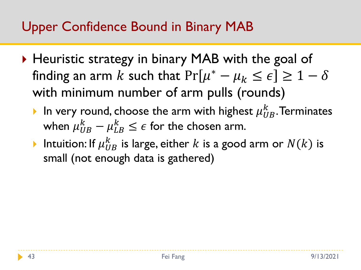- ▶ Heuristic strategy in binary MAB with the goal of finding an arm  $k$  such that  $Pr[\mu^* - \mu_k \leq \epsilon] \geq 1 - \delta$ with minimum number of arm pulls (rounds)
	- In very round, choose the arm with highest  $\mu_{UB}^k$ . Terminates when  $\mu_{UB}^k - \mu_{LB}^k \leq \epsilon$  for the chosen arm.
	- Intuition: If  $\mu_{UB}^k$  is large, either  $k$  is a good arm or  $N(k)$  is small (not enough data is gathered)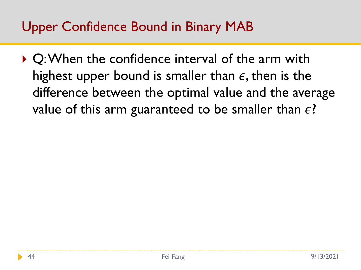▶ Q: When the confidence interval of the arm with highest upper bound is smaller than  $\epsilon$ , then is the difference between the optimal value and the average value of this arm guaranteed to be smaller than  $\epsilon$ ?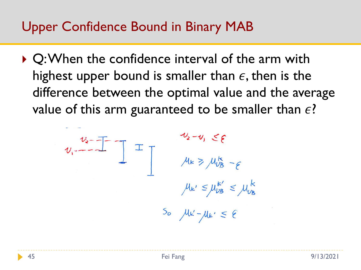▶ Q: When the confidence interval of the arm with highest upper bound is smaller than  $\epsilon$ , then is the difference between the optimal value and the average value of this arm guaranteed to be smaller than  $\epsilon$ ?

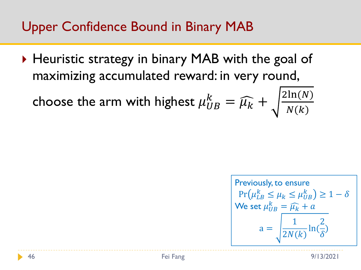▶ Heuristic strategy in binary MAB with the goal of maximizing accumulated reward: in very round,

choose the arm with highest 
$$
\mu_{UB}^k = \widehat{\mu}_k + \sqrt{\frac{2\ln(N)}{N(k)}}
$$

$$
\begin{aligned} \text{Previously, to ensure} \\ \Pr(\mu_{LB}^k \le \mu_k \le \mu_{UB}^k) \ge 1 - \delta \\ \text{We set } \mu_{UB}^k = \widehat{\mu_k} + a \\ a &= \sqrt{\frac{1}{2N(k)} \ln(\frac{2}{\delta})} \end{aligned}
$$